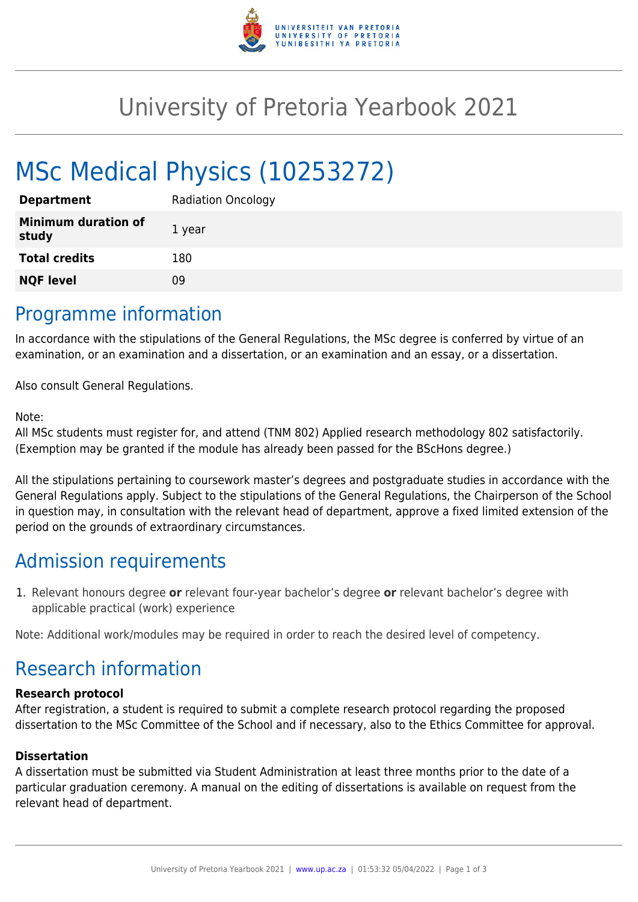

## University of Pretoria Yearbook 2021

# MSc Medical Physics (10253272)

| <b>Department</b>                   | <b>Radiation Oncology</b> |
|-------------------------------------|---------------------------|
| <b>Minimum duration of</b><br>study | 1 year                    |
| <b>Total credits</b>                | 180                       |
| <b>NQF level</b>                    | ΩÓ                        |

### Programme information

In accordance with the stipulations of the General Regulations, the MSc degree is conferred by virtue of an examination, or an examination and a dissertation, or an examination and an essay, or a dissertation.

Also consult General Regulations.

#### Note:

All MSc students must register for, and attend (TNM 802) Applied research methodology 802 satisfactorily. (Exemption may be granted if the module has already been passed for the BScHons degree.)

All the stipulations pertaining to coursework master's degrees and postgraduate studies in accordance with the General Regulations apply. Subject to the stipulations of the General Regulations, the Chairperson of the School in question may, in consultation with the relevant head of department, approve a fixed limited extension of the period on the grounds of extraordinary circumstances.

## Admission requirements

1. Relevant honours degree **or** relevant four-year bachelor's degree **or** relevant bachelor's degree with applicable practical (work) experience

Note: Additional work/modules may be required in order to reach the desired level of competency.

## Research information

#### **Research protocol**

After registration, a student is required to submit a complete research protocol regarding the proposed dissertation to the MSc Committee of the School and if necessary, also to the Ethics Committee for approval.

#### **Dissertation**

A dissertation must be submitted via Student Administration at least three months prior to the date of a particular graduation ceremony. A manual on the editing of dissertations is available on request from the relevant head of department.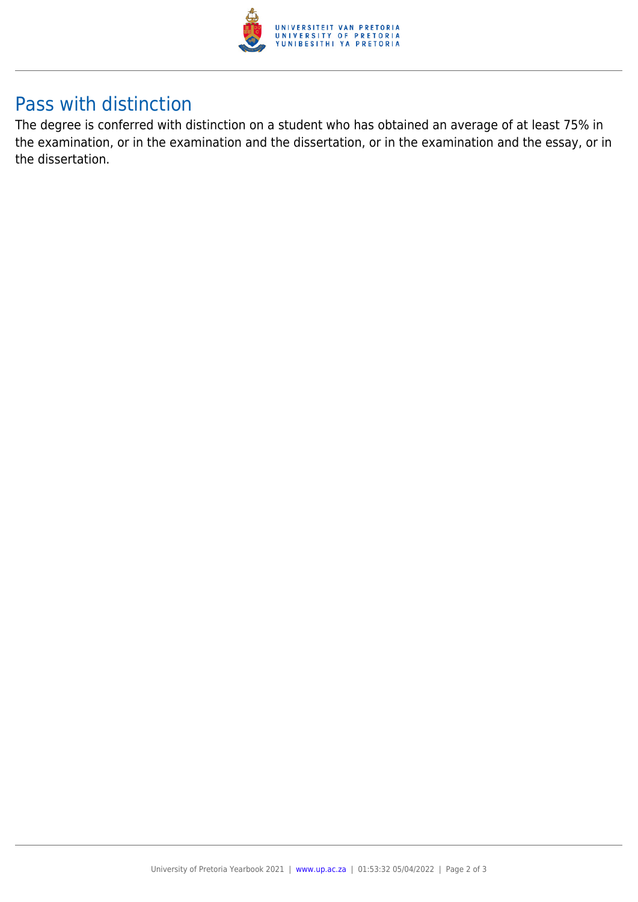

## Pass with distinction

The degree is conferred with distinction on a student who has obtained an average of at least 75% in the examination, or in the examination and the dissertation, or in the examination and the essay, or in the dissertation.